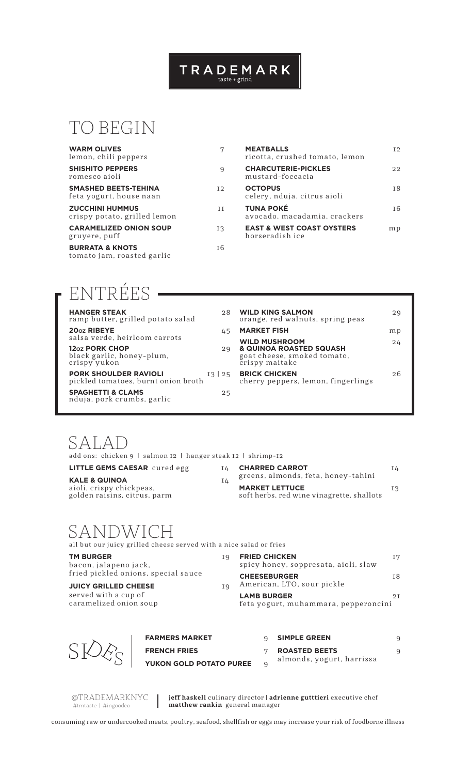### $\begin{array}{c} \textsf{T} \ \textsf{R} \ \textsf{A} \ \textsf{D} \ \textsf{E} \ \textsf{M} \ \textsf{A} \ \textsf{R} \ \textsf{K} \\ \textsf{\tiny{taste+grid}} \end{array}$

### TO BEGIN

| <b>WARM OLIVES</b><br>lemon, chili peppers               | 7   |
|----------------------------------------------------------|-----|
| <b>SHISHITO PEPPERS</b><br>romesco aioli                 | 9   |
| <b>SMASHED BEETS-TEHINA</b><br>feta yogurt, house naan   | 12  |
| <b>ZUCCHINI HUMMUS</b><br>crispy potato, grilled lemon   | H   |
| <b>CARAMELIZED ONION SOUP</b><br>gruvere, puff           | I٩  |
| <b>BURRATA &amp; KNOTS</b><br>tomato jam, roasted garlic | т 6 |

| <b>MEATBALLS</b><br>ricotta, crushed tomato, lemon      | T 2 |
|---------------------------------------------------------|-----|
| <b>CHARCUTERIE-PICKLES</b><br>mustard-foccacia          | ワワ  |
| <b>OCTOPUS</b><br>celery, nduja, citrus aioli           | тR  |
| <b>TUNA POKÉ</b><br>avocado, macadamia, crackers        | тĥ  |
| <b>EAST &amp; WEST COAST OYSTERS</b><br>horseradish ice | m p |

### ENTRÉES

| <b>HANGER STEAK</b><br>ramp butter, grilled potato salad                | 98    |
|-------------------------------------------------------------------------|-------|
| 20 <sub>oz</sub> RIBEYE<br>salsa verde, heirloom carrots                | 45    |
| 12 <sub>02</sub> PORK CHOP<br>black garlic, honey-plum,<br>crispy yukon | 29    |
| <b>PORK SHOULDER RAVIOLI</b><br>pickled tomatoes, burnt onion broth     | 13 25 |
| <b>SPAGHETTI &amp; CLAMS</b><br>nduja, pork crumbs, garlic              | 25    |

| <b>WILD KING SALMON</b><br>orange, red walnuts, spring peas                                      | 29 |
|--------------------------------------------------------------------------------------------------|----|
| <b>MARKET FISH</b>                                                                               | mp |
| <b>WILD MUSHROOM</b><br>& QUINOA ROASTED SQUASH<br>goat cheese, smoked tomato,<br>crispy maitake | 24 |
| <b>BRICK CHICKEN</b><br>cherry peppers, lemon, fingerlings                                       | 26 |
|                                                                                                  |    |

### SALAD

add ons: chicken 9 | salmon 12 | hanger steak 12 | shrimp-12

**LITTLE GEMS CAESAR** cured egg 14 **KALE & QUINOA** 14

| NALE ¤ WUINVA                |  |
|------------------------------|--|
| aioli, crispy chickpeas,     |  |
| golden raisins, citrus, parm |  |

| <b>CHARRED CARROT</b><br>greens, almonds, feta, honey-tahini       | IΔ |
|--------------------------------------------------------------------|----|
| <b>MARKET LETTUCE</b><br>soft herbs, red wine vinagrette, shallots | I3 |

# $SANDMICH$ <br>all but our juicy grilled cheese served with a nice salad or fries

| <b>TM BURGER</b><br>bacon, jalapeno jack,      | Τq | <b>FRIED CHICKEN</b><br>spicy honey, soppresata, aioli, slaw | Ι7 |
|------------------------------------------------|----|--------------------------------------------------------------|----|
| fried pickled onions, special sauce            |    | <b>CHEESEBURGER</b>                                          | 18 |
| <b>JUICY GRILLED CHEESE</b>                    |    | American, LTO, sour pickle                                   |    |
| served with a cup of<br>caramelized onion soup |    | <b>LAMB BURGER</b><br>feta yogurt, muhammara, pepperoncini   | 2T |



| <b>FARMERS MARKET</b>          | <b>SIMPLE GREEN</b>       |  |
|--------------------------------|---------------------------|--|
| <b>FRENCH FRIES</b>            | <b>ROASTED BEETS</b>      |  |
| <b>YUKON GOLD POTATO PUREE</b> | almonds, yogurt, harrissa |  |

@TRADEMARKNYC #tmtaste | #ingoodco

**jeff haskell** culinary director | **adrienne gutttieri** executive chef **matthew rankin** general manager

consuming raw or undercooked meats, poultry, seafood, shellfish or eggs may increase your risk of foodborne illness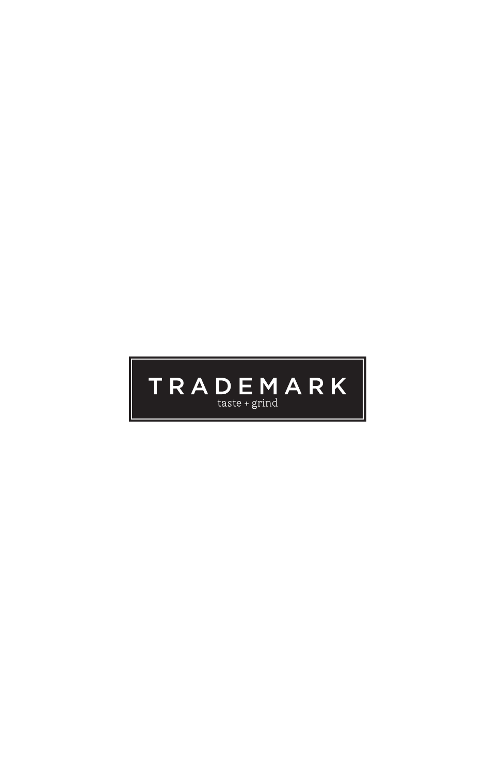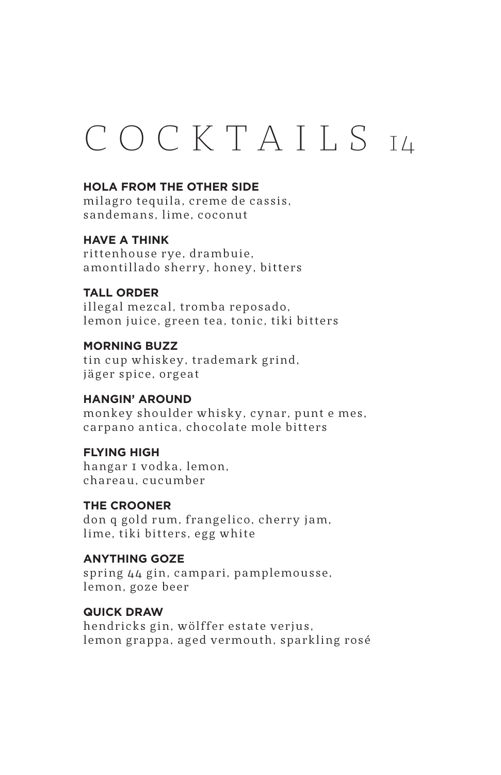## C O C K T A I L S 14

#### **HOLA FROM THE OTHER SIDE**

milagro tequila, creme de cassis, sandemans, lime, coconut

#### **HAVE A THINK**

rittenhouse rye, drambuie, amontillado sherry, honey, bitters

#### **TALL ORDER**

illegal mezcal, tromba reposado, lemon juice, green tea, tonic, tiki bitters

#### **MORNING BUZZ**

tin cup whiskey, trademark grind, jäger spice, orgeat

#### **HANGIN' AROUND**

monkey shoulder whisky, cynar, punt e mes, carpano antica, chocolate mole bitters

#### **FLYING HIGH**

hangar I vodka, lemon. chareau, cucumber

#### **THE CROONER**

don q gold rum, frangelico, cherry jam, lime, tiki bitters, egg white

#### **ANYTHING GOZE**

spring 44 gin, campari, pamplemousse, lemon, goze beer

#### **QUICK DRAW**

hendricks gin, wölffer estate verjus, lemon grappa, aged vermouth, sparkling rosé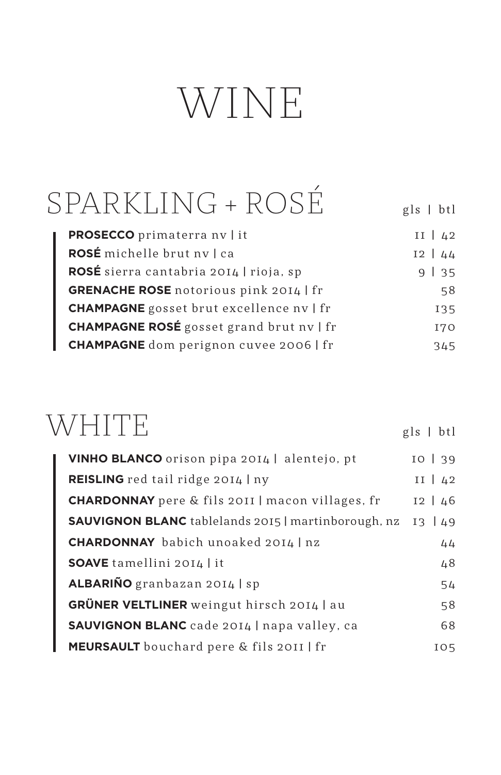# WINE

| SPARKLING + ROSE                                | $gls$   btl  |
|-------------------------------------------------|--------------|
| <b>PROSECCO</b> primaterra nv   it              | $II \mid 42$ |
| ROSÉ michelle brut nv   ca                      | $12 \mid 44$ |
| ROSÉ sierra cantabria 2014   rioja, sp          | 9   35       |
| <b>GRENACHE ROSE</b> notorious pink 2014   fr   | 58           |
| <b>CHAMPAGNE</b> gosset brut excellence nv   fr | 135          |
| <b>CHAMPAGNE ROSÉ</b> gosset grand brut nv   fr | <b>I70</b>   |
| <b>CHAMPAGNE</b> dom perignon cuvee 2006   fr   | 345          |

### WHITE

| <b>VINHO BLANCO</b> orison pipa 2014   alentejo, pt        | 10   39      |
|------------------------------------------------------------|--------------|
| REISLING red tail ridge 2014   ny                          | $II \mid 42$ |
| <b>CHARDONNAY</b> pere & fils 2011   macon villages, fr    | $12 \mid 46$ |
| <b>SAUVIGNON BLANC</b> tablelands 2015   martinborough, nz | 13   49      |
| <b>CHARDONNAY</b> babich unoaked 2014   nz                 | 44           |
| <b>SOAVE</b> tamellini 2014   it                           | 48           |
| ALBARIÑO granbazan 2014   sp                               | 54           |
| <b>GRÜNER VELTLINER</b> weingut hirsch 2014 au             | 58           |
| <b>SAUVIGNON BLANC</b> cade 2014   napa valley, ca         | 68           |
| <b>MEURSAULT</b> bouchard pere & fils 2011   fr            | IO5          |

gls | btl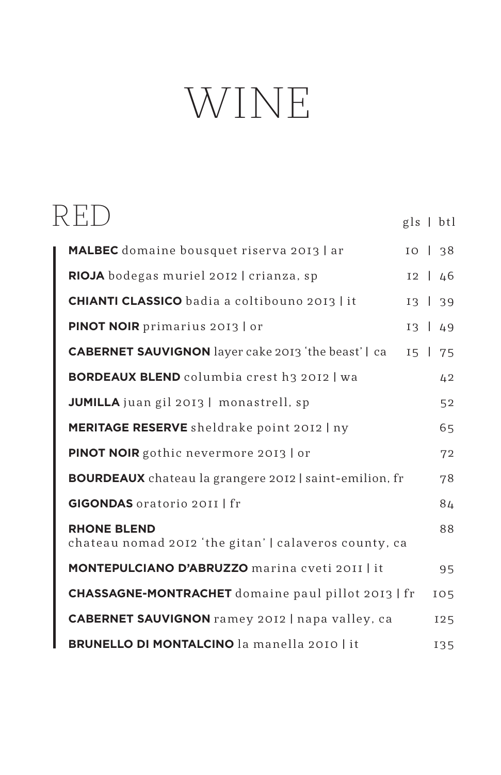# WINE

|                                                                             |  | $gls$   btl  |
|-----------------------------------------------------------------------------|--|--------------|
| <b>MALBEC</b> domaine bousquet riserva 2013   ar                            |  | $IO$   $38$  |
| RIOJA bodegas muriel 2012   crianza, sp                                     |  | $12 \mid 46$ |
| <b>CHIANTI CLASSICO</b> badia a coltibouno 2013   it                        |  | $13 \mid 39$ |
| PINOT NOIR primarius 2013   or                                              |  | $13 \mid 49$ |
| <b>CABERNET SAUVIGNON</b> layer cake 2013 'the beast'   ca                  |  | $15 \mid 75$ |
| <b>BORDEAUX BLEND</b> columbia crest h3 2012   wa                           |  | 42           |
| JUMILLA juan gil 2013   monastrell, sp                                      |  | 52           |
| <b>MERITAGE RESERVE</b> sheldrake point 2012   ny                           |  | 65           |
| PINOT NOIR gothic nevermore 2013   or                                       |  | 72           |
| <b>BOURDEAUX</b> chateau la grangere 2012   saint-emilion, fr               |  | 78           |
| <b>GIGONDAS</b> oratorio 2011   fr                                          |  | 84           |
| <b>RHONE BLEND</b><br>chateau nomad 2012 'the gitan'   calaveros county, ca |  | 88           |
| <b>MONTEPULCIANO D'ABRUZZO marina cveti 2011   it</b>                       |  | 95           |
| <b>CHASSAGNE-MONTRACHET</b> domaine paul pillot 2013   fr                   |  | 105          |
| <b>CABERNET SAUVIGNON</b> ramey 2012   napa valley, ca                      |  | <b>I25</b>   |
| <b>BRUNELLO DI MONTALCINO</b> la manella 2010   it                          |  | 135          |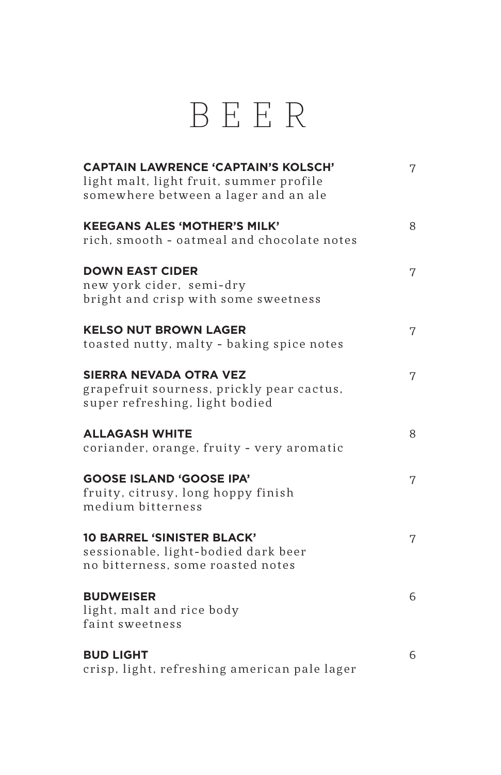### BEER

| <b>CAPTAIN LAWRENCE 'CAPTAIN'S KOLSCH'</b><br>light malt, light fruit, summer profile                         | 7 |
|---------------------------------------------------------------------------------------------------------------|---|
| somewhere between a lager and an ale                                                                          |   |
| <b>KEEGANS ALES 'MOTHER'S MILK'</b><br>rich, smooth - oatmeal and chocolate notes                             | 8 |
| <b>DOWN EAST CIDER</b>                                                                                        | 7 |
| new york cider, semi-dry<br>bright and crisp with some sweetness                                              |   |
| <b>KELSO NUT BROWN LAGER</b><br>toasted nutty, malty - baking spice notes                                     | 7 |
| <b>SIERRA NEVADA OTRA VEZ</b><br>grapefruit sourness, prickly pear cactus,<br>super refreshing, light bodied  | 7 |
| <b>ALLAGASH WHITE</b><br>coriander, orange, fruity - very aromatic                                            | 8 |
| <b>GOOSE ISLAND 'GOOSE IPA'</b><br>fruity, citrusy, long hoppy finish<br>medium bitterness                    | 7 |
| <b>10 BARREL 'SINISTER BLACK'</b><br>sessionable, light-bodied dark beer<br>no bitterness, some roasted notes | 7 |
| <b>BUDWEISER</b><br>light, malt and rice body<br>faint sweetness                                              | 6 |
| <b>BUD LIGHT</b><br>crisp, light, refreshing american pale lager                                              | 6 |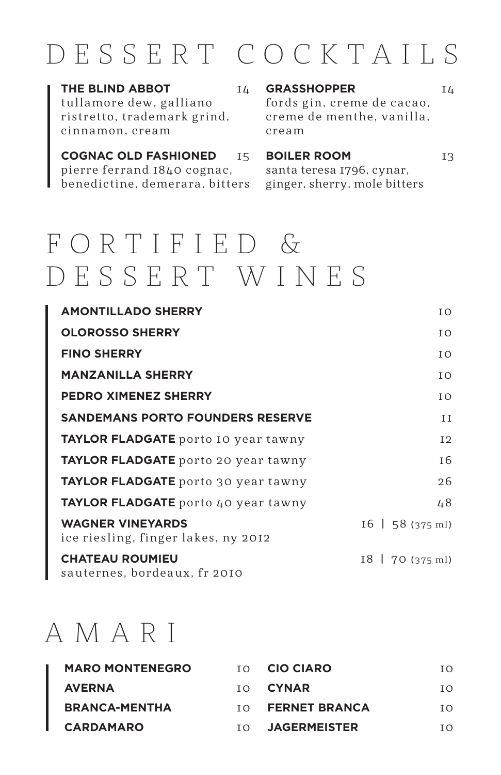### DESSERT COCKTAILS

**THE BLIND ABBOT** 14 tullamore dew, galliano ristretto, trademark grind, cinnamon, cream

**COGNAC OLD FASHIONED** 15 pierre ferrand 1840 cognac, benedictine, demerara, bitters ginger, sherry, mole bitters

#### **GRASSHOPPER** 14

fords gin, creme de cacao, creme de menthe, vanilla. cream

#### **BOILER ROOM** 13

santa teresa 1796, cynar,

### F O R T I F I E D & DESSERT WINES

| <b>AMONTILLADO SHERRY</b>                                      | I O                             |
|----------------------------------------------------------------|---------------------------------|
| <b>OLOROSSO SHERRY</b>                                         | I O                             |
| <b>FINO SHERRY</b>                                             | I O                             |
| <b>MANZANILLA SHERRY</b>                                       | TO.                             |
| <b>PEDRO XIMENEZ SHERRY</b>                                    | I O                             |
| <b>SANDEMANS PORTO FOUNDERS RESERVE</b>                        | H                               |
| <b>TAYLOR FLADGATE</b> porto 10 year tawny                     | I <sub>2</sub>                  |
| <b>TAYLOR FLADGATE</b> porto 20 year tawny                     | I 6                             |
| TAYLOR FLADGATE porto 30 year tawny                            | 26                              |
| <b>TAYLOR FLADGATE</b> porto 40 year tawny                     | 48                              |
| <b>WAGNER VINEYARDS</b><br>ice riesling, finger lakes, ny 2012 | $16 \mid 58 \ (375 \text{ ml})$ |
| <b>CHATEAU ROUMIEU</b><br>sauternes, bordeaux, fr 2010         | $18$   70 (375 ml)              |

### AMARI

| <b>MARO MONTENEGRO</b> | T O | <b>CIO CIARO</b>     | TΩ  |
|------------------------|-----|----------------------|-----|
| <b>AVERNA</b>          |     | TO <b>CYNAR</b>      | TΩ  |
| <b>BRANCA-MENTHA</b>   | T O | <b>FERNET BRANCA</b> | TΩ  |
| <b>CARDAMARO</b>       | T O | <b>JAGERMEISTER</b>  | TΩ. |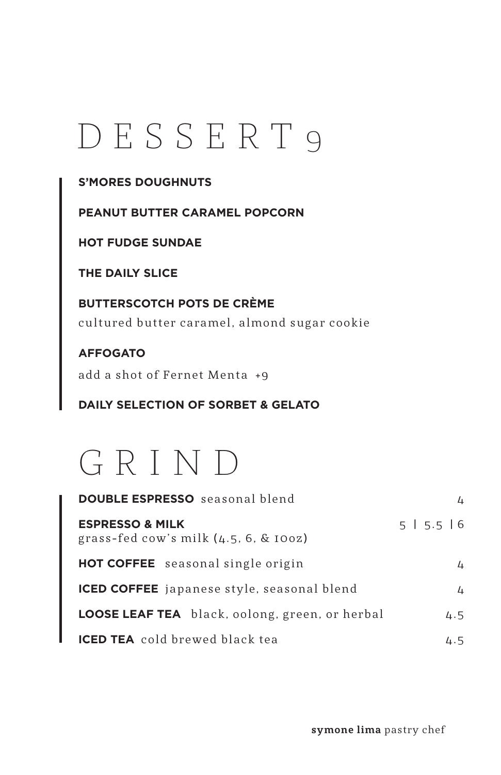## DESSERT 9

#### **S'MORES DOUGHNUTS**

**PEANUT BUTTER CARAMEL POPCORN** 

**HOT FUDGE SUNDAE**

**THE DAILY SLICE** 

**BUTTERSCOTCH POTS DE CRÈME** cultured butter caramel, almond sugar cookie

**AFFOGATO** add a shot of Fernet Menta +9

**DAILY SELECTION OF SORBET & GELATO**



| <b>DOUBLE ESPRESSO</b> seasonal blend                                  | Δ.          |
|------------------------------------------------------------------------|-------------|
| <b>ESPRESSO &amp; MILK</b><br>grass-fed cow's milk $(4.5, 6, \&$ 100z) | 5   5.5   6 |
| <b>HOT COFFEE</b> seasonal single origin                               | 4           |
| <b>ICED COFFEE</b> japanese style, seasonal blend                      | 4           |
| LOOSE LEAF TEA black, oolong, green, or herbal                         | 4.5         |
| <b>ICED TEA</b> cold brewed black tea                                  | 4.5         |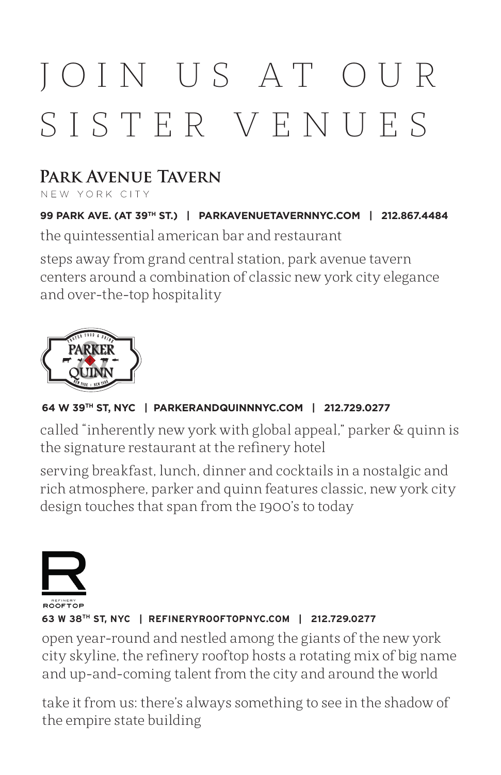# JOIN US AT OUR SISTER VENUES

### **PARK AVENUE TAVERN**

NEW YORK CITY

**99 PARK AVE. (AT 39TH ST.) | PARKAVENUETAVERNNYC.COM | 212.867.4484** the quintessential american bar and restaurant

steps away from grand central station, park avenue tavern centers around a combination of classic new york city elegance and over-the-top hospitality



#### **64 W 39TH ST, NYC | PARKERANDQUINNNYC.COM | 212.729.0277**

called "inherently new york with global appeal," parker & quinn is the signature restaurant at the refinery hotel

serving breakfast, lunch, dinner and cocktails in a nostalgic and rich atmosphere, parker and quinn features classic, new york city design touches that span from the 1900's to today



#### **63 W 38TH ST, NYC | REFINERYROOFTOPNYC.COM | 212.729.0277**

open year-round and nestled among the giants of the new york city skyline, the refinery rooftop hosts a rotating mix of big name and up-and-coming talent from the city and around the world

take it from us: there's always something to see in the shadow of the empire state building